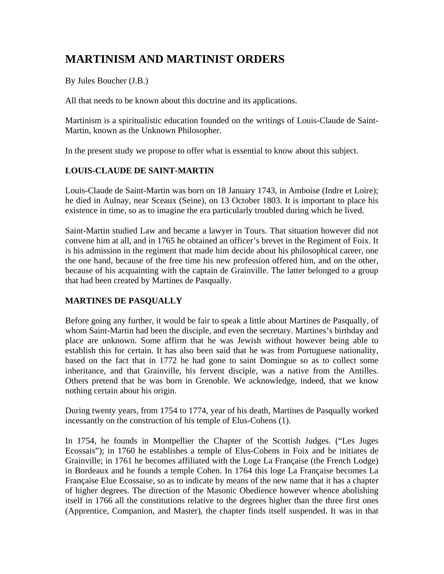# **MARTINISM AND MARTINIST ORDERS**

By Jules Boucher (J.B.)

All that needs to be known about this doctrine and its applications.

Martinism is a spiritualistic education founded on the writings of Louis-Claude de Saint-Martin, known as the Unknown Philosopher.

In the present study we propose to offer what is essential to know about this subject.

## **LOUIS-CLAUDE DE SAINT-MARTIN**

Louis-Claude de Saint-Martin was born on 18 January 1743, in Amboise (Indre et Loire); he died in Aulnay, near Sceaux (Seine), on 13 October 1803. It is important to place his existence in time, so as to imagine the era particularly troubled during which he lived.

Saint-Martin studied Law and became a lawyer in Tours. That situation however did not convene him at all, and in 1765 he obtained an officer's brevet in the Regiment of Foix. It is his admission in the regiment that made him decide about his philosophical career, one the one hand, because of the free time his new profession offered him, and on the other, because of his acquainting with the captain de Grainville. The latter belonged to a group that had been created by Martines de Pasqually.

# **MARTINES DE PASQUALLY**

Before going any further, it would be fair to speak a little about Martines de Pasqually, of whom Saint-Martin had been the disciple, and even the secretary. Martines's birthday and place are unknown. Some affirm that he was Jewish without however being able to establish this for certain. It has also been said that he was from Portuguese nationality, based on the fact that in 1772 he had gone to saint Domingue so as to collect some inheritance, and that Grainville, his fervent disciple, was a native from the Antilles. Others pretend that he was born in Grenoble. We acknowledge, indeed, that we know nothing certain about his origin.

During twenty years, from 1754 to 1774, year of his death, Martines de Pasqually worked incessantly on the construction of his temple of Elus-Cohens (1).

In 1754, he founds in Montpellier the Chapter of the Scottish Judges. ("Les Juges Ecossais"); in 1760 he establishes a temple of Elus-Cohens in Foix and he initiates de Grainville; in 1761 he becomes affiliated with the Loge La Française (the French Lodge) in Bordeaux and he founds a temple Cohen. In 1764 this loge La Française becomes La Française Elue Ecossaise, so as to indicate by means of the new name that it has a chapter of higher degrees. The direction of the Masonic Obedience however whence abolishing itself in 1766 all the constitutions relative to the degrees higher than the three first ones (Apprentice, Companion, and Master), the chapter finds itself suspended. It was in that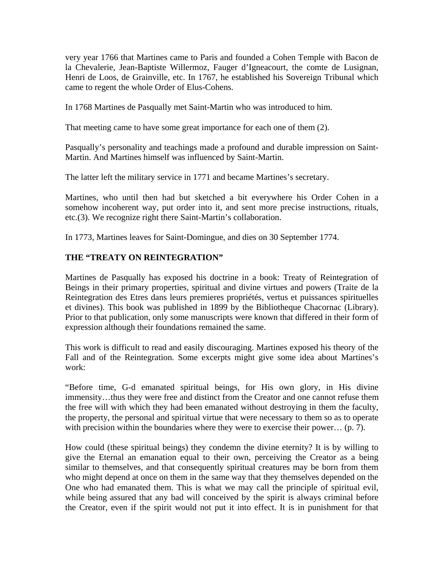very year 1766 that Martines came to Paris and founded a Cohen Temple with Bacon de la Chevalerie, Jean-Baptiste Willermoz, Fauger d'Igneacourt, the comte de Lusignan, Henri de Loos, de Grainville, etc. In 1767, he established his Sovereign Tribunal which came to regent the whole Order of Elus-Cohens.

In 1768 Martines de Pasqually met Saint-Martin who was introduced to him.

That meeting came to have some great importance for each one of them (2).

Pasqually's personality and teachings made a profound and durable impression on Saint-Martin. And Martines himself was influenced by Saint-Martin.

The latter left the military service in 1771 and became Martines's secretary.

Martines, who until then had but sketched a bit everywhere his Order Cohen in a somehow incoherent way, put order into it, and sent more precise instructions, rituals, etc.(3). We recognize right there Saint-Martin's collaboration.

In 1773, Martines leaves for Saint-Domingue, and dies on 30 September 1774.

## **THE "TREATY ON REINTEGRATION"**

Martines de Pasqually has exposed his doctrine in a book: Treaty of Reintegration of Beings in their primary properties, spiritual and divine virtues and powers (Traite de la Reintegration des Etres dans leurs premieres propriétés, vertus et puissances spirituelles et divines). This book was published in 1899 by the Bibliotheque Chacornac (Library). Prior to that publication, only some manuscripts were known that differed in their form of expression although their foundations remained the same.

This work is difficult to read and easily discouraging. Martines exposed his theory of the Fall and of the Reintegration. Some excerpts might give some idea about Martines's work:

"Before time, G-d emanated spiritual beings, for His own glory, in His divine immensity…thus they were free and distinct from the Creator and one cannot refuse them the free will with which they had been emanated without destroying in them the faculty, the property, the personal and spiritual virtue that were necessary to them so as to operate with precision within the boundaries where they were to exercise their power... (p. 7).

How could (these spiritual beings) they condemn the divine eternity? It is by willing to give the Eternal an emanation equal to their own, perceiving the Creator as a being similar to themselves, and that consequently spiritual creatures may be born from them who might depend at once on them in the same way that they themselves depended on the One who had emanated them. This is what we may call the principle of spiritual evil, while being assured that any bad will conceived by the spirit is always criminal before the Creator, even if the spirit would not put it into effect. It is in punishment for that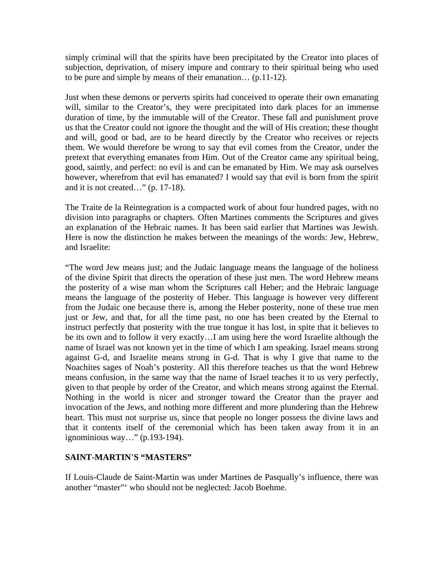simply criminal will that the spirits have been precipitated by the Creator into places of subjection, deprivation, of misery impure and contrary to their spiritual being who used to be pure and simple by means of their emanation… (p.11-12).

Just when these demons or perverts spirits had conceived to operate their own emanating will, similar to the Creator's, they were precipitated into dark places for an immense duration of time, by the immutable will of the Creator. These fall and punishment prove us that the Creator could not ignore the thought and the will of His creation; these thought and will, good or bad, are to be heard directly by the Creator who receives or rejects them. We would therefore be wrong to say that evil comes from the Creator, under the pretext that everything emanates from Him. Out of the Creator came any spiritual being, good, saintly, and perfect: no evil is and can be emanated by Him. We may ask ourselves however, wherefrom that evil has emanated? I would say that evil is born from the spirit and it is not created…" (p. 17-18).

The Traite de la Reintegration is a compacted work of about four hundred pages, with no division into paragraphs or chapters. Often Martines comments the Scriptures and gives an explanation of the Hebraic names. It has been said earlier that Martines was Jewish. Here is now the distinction he makes between the meanings of the words: Jew, Hebrew, and Israelite:

"The word Jew means just; and the Judaic language means the language of the holiness of the divine Spirit that directs the operation of these just men. The word Hebrew means the posterity of a wise man whom the Scriptures call Heber; and the Hebraic language means the language of the posterity of Heber. This language is however very different from the Judaic one because there is, among the Heber posterity, none of these true men just or Jew, and that, for all the time past, no one has been created by the Eternal to instruct perfectly that posterity with the true tongue it has lost, in spite that it believes to be its own and to follow it very exactly…I am using here the word Israelite although the name of Israel was not known yet in the time of which I am speaking. Israel means strong against G-d, and Israelite means strong in G-d. That is why I give that name to the Noachites sages of Noah's posterity. All this therefore teaches us that the word Hebrew means confusion, in the same way that the name of Israel teaches it to us very perfectly, given to that people by order of the Creator, and which means strong against the Eternal. Nothing in the world is nicer and stronger toward the Creator than the prayer and invocation of the Jews, and nothing more different and more plundering than the Hebrew heart. This must not surprise us, since that people no longer possess the divine laws and that it contents itself of the ceremonial which has been taken away from it in an ignominious way…" (p.193-194).

#### **SAINT-MARTIN**'**S "MASTERS"**

If Louis-Claude de Saint-Martin was under Martines de Pasqually's influence, there was another "master"' who should not be neglected: Jacob Boehme.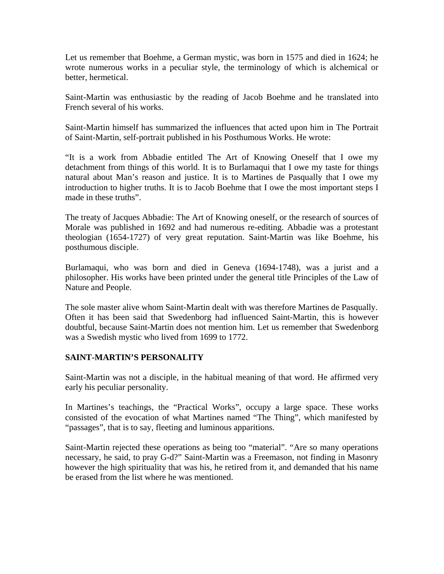Let us remember that Boehme, a German mystic, was born in 1575 and died in 1624; he wrote numerous works in a peculiar style, the terminology of which is alchemical or better, hermetical.

Saint-Martin was enthusiastic by the reading of Jacob Boehme and he translated into French several of his works.

Saint-Martin himself has summarized the influences that acted upon him in The Portrait of Saint-Martin, self-portrait published in his Posthumous Works. He wrote:

"It is a work from Abbadie entitled The Art of Knowing Oneself that I owe my detachment from things of this world. It is to Burlamaqui that I owe my taste for things natural about Man's reason and justice. It is to Martines de Pasqually that I owe my introduction to higher truths. It is to Jacob Boehme that I owe the most important steps I made in these truths".

The treaty of Jacques Abbadie: The Art of Knowing oneself, or the research of sources of Morale was published in 1692 and had numerous re-editing. Abbadie was a protestant theologian (1654-1727) of very great reputation. Saint-Martin was like Boehme, his posthumous disciple.

Burlamaqui, who was born and died in Geneva (1694-1748), was a jurist and a philosopher. His works have been printed under the general title Principles of the Law of Nature and People.

The sole master alive whom Saint-Martin dealt with was therefore Martines de Pasqually. Often it has been said that Swedenborg had influenced Saint-Martin, this is however doubtful, because Saint-Martin does not mention him. Let us remember that Swedenborg was a Swedish mystic who lived from 1699 to 1772.

## **SAINT-MARTIN'S PERSONALITY**

Saint-Martin was not a disciple, in the habitual meaning of that word. He affirmed very early his peculiar personality.

In Martines's teachings, the "Practical Works", occupy a large space. These works consisted of the evocation of what Martines named "The Thing", which manifested by "passages", that is to say, fleeting and luminous apparitions.

Saint-Martin rejected these operations as being too "material". "Are so many operations necessary, he said, to pray G-d?" Saint-Martin was a Freemason, not finding in Masonry however the high spirituality that was his, he retired from it, and demanded that his name be erased from the list where he was mentioned.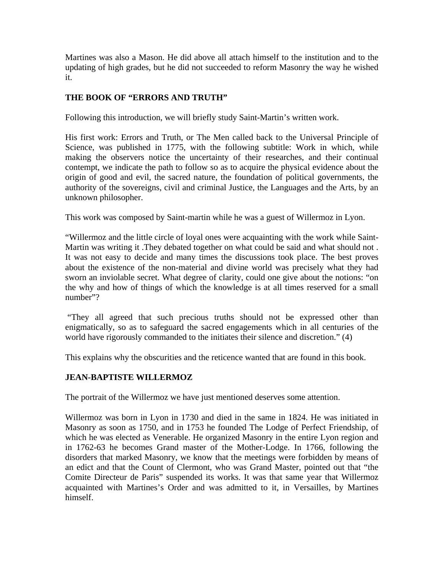Martines was also a Mason. He did above all attach himself to the institution and to the updating of high grades, but he did not succeeded to reform Masonry the way he wished it.

## **THE BOOK OF "ERRORS AND TRUTH"**

Following this introduction, we will briefly study Saint-Martin's written work.

His first work: Errors and Truth, or The Men called back to the Universal Principle of Science, was published in 1775, with the following subtitle: Work in which, while making the observers notice the uncertainty of their researches, and their continual contempt, we indicate the path to follow so as to acquire the physical evidence about the origin of good and evil, the sacred nature, the foundation of political governments, the authority of the sovereigns, civil and criminal Justice, the Languages and the Arts, by an unknown philosopher.

This work was composed by Saint-martin while he was a guest of Willermoz in Lyon.

"Willermoz and the little circle of loyal ones were acquainting with the work while Saint-Martin was writing it .They debated together on what could be said and what should not . It was not easy to decide and many times the discussions took place. The best proves about the existence of the non-material and divine world was precisely what they had sworn an inviolable secret. What degree of clarity, could one give about the notions: "on the why and how of things of which the knowledge is at all times reserved for a small number"?

 "They all agreed that such precious truths should not be expressed other than enigmatically, so as to safeguard the sacred engagements which in all centuries of the world have rigorously commanded to the initiates their silence and discretion." (4)

This explains why the obscurities and the reticence wanted that are found in this book.

## **JEAN-BAPTISTE WILLERMOZ**

The portrait of the Willermoz we have just mentioned deserves some attention.

Willermoz was born in Lyon in 1730 and died in the same in 1824. He was initiated in Masonry as soon as 1750, and in 1753 he founded The Lodge of Perfect Friendship, of which he was elected as Venerable. He organized Masonry in the entire Lyon region and in 1762-63 he becomes Grand master of the Mother-Lodge. In 1766, following the disorders that marked Masonry, we know that the meetings were forbidden by means of an edict and that the Count of Clermont, who was Grand Master, pointed out that "the Comite Directeur de Paris" suspended its works. It was that same year that Willermoz acquainted with Martines's Order and was admitted to it, in Versailles, by Martines himself.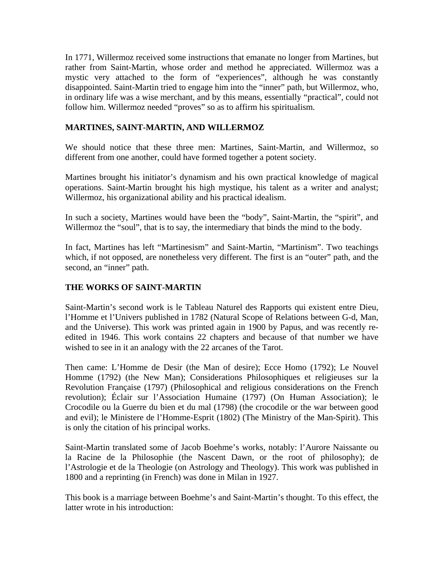In 1771, Willermoz received some instructions that emanate no longer from Martines, but rather from Saint-Martin, whose order and method he appreciated. Willermoz was a mystic very attached to the form of "experiences", although he was constantly disappointed. Saint-Martin tried to engage him into the "inner" path, but Willermoz, who, in ordinary life was a wise merchant, and by this means, essentially "practical", could not follow him. Willermoz needed "proves" so as to affirm his spiritualism.

## **MARTINES, SAINT-MARTIN, AND WILLERMOZ**

We should notice that these three men: Martines, Saint-Martin, and Willermoz, so different from one another, could have formed together a potent society.

Martines brought his initiator's dynamism and his own practical knowledge of magical operations. Saint-Martin brought his high mystique, his talent as a writer and analyst; Willermoz, his organizational ability and his practical idealism.

In such a society, Martines would have been the "body", Saint-Martin, the "spirit", and Willermoz the "soul", that is to say, the intermediary that binds the mind to the body.

In fact, Martines has left "Martinesism" and Saint-Martin, "Martinism". Two teachings which, if not opposed, are nonetheless very different. The first is an "outer" path, and the second, an "inner" path.

## **THE WORKS OF SAINT-MARTIN**

Saint-Martin's second work is le Tableau Naturel des Rapports qui existent entre Dieu, l'Homme et l'Univers published in 1782 (Natural Scope of Relations between G-d, Man, and the Universe). This work was printed again in 1900 by Papus, and was recently reedited in 1946. This work contains 22 chapters and because of that number we have wished to see in it an analogy with the 22 arcanes of the Tarot.

Then came: L'Homme de Desir (the Man of desire); Ecce Homo (1792); Le Nouvel Homme (1792) (the New Man); Considerations Philosophiques et religieuses sur la Revolution Française (1797) (Philosophical and religious considerations on the French revolution); Éclair sur l'Association Humaine (1797) (On Human Association); le Crocodile ou la Guerre du bien et du mal (1798) (the crocodile or the war between good and evil); le Ministere de l'Homme-Esprit (1802) (The Ministry of the Man-Spirit). This is only the citation of his principal works.

Saint-Martin translated some of Jacob Boehme's works, notably: l'Aurore Naissante ou la Racine de la Philosophie (the Nascent Dawn, or the root of philosophy); de l'Astrologie et de la Theologie (on Astrology and Theology). This work was published in 1800 and a reprinting (in French) was done in Milan in 1927.

This book is a marriage between Boehme's and Saint-Martin's thought. To this effect, the latter wrote in his introduction: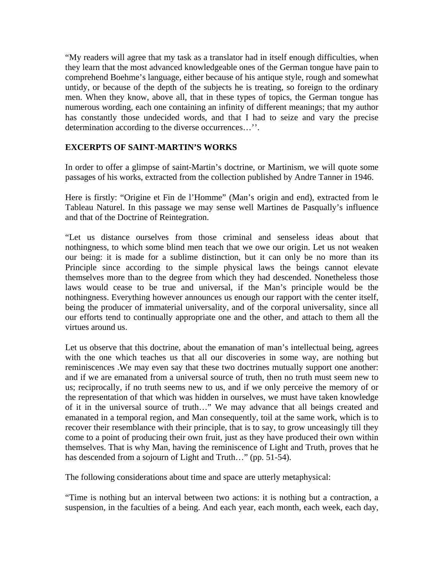"My readers will agree that my task as a translator had in itself enough difficulties, when they learn that the most advanced knowledgeable ones of the German tongue have pain to comprehend Boehme's language, either because of his antique style, rough and somewhat untidy, or because of the depth of the subjects he is treating, so foreign to the ordinary men. When they know, above all, that in these types of topics, the German tongue has numerous wording, each one containing an infinity of different meanings; that my author has constantly those undecided words, and that I had to seize and vary the precise determination according to the diverse occurrences…''.

## **EXCERPTS OF SAINT-MARTIN'S WORKS**

In order to offer a glimpse of saint-Martin's doctrine, or Martinism, we will quote some passages of his works, extracted from the collection published by Andre Tanner in 1946.

Here is firstly: "Origine et Fin de l'Homme" (Man's origin and end), extracted from le Tableau Naturel. In this passage we may sense well Martines de Pasqually's influence and that of the Doctrine of Reintegration.

"Let us distance ourselves from those criminal and senseless ideas about that nothingness, to which some blind men teach that we owe our origin. Let us not weaken our being: it is made for a sublime distinction, but it can only be no more than its Principle since according to the simple physical laws the beings cannot elevate themselves more than to the degree from which they had descended. Nonetheless those laws would cease to be true and universal, if the Man's principle would be the nothingness. Everything however announces us enough our rapport with the center itself, being the producer of immaterial universality, and of the corporal universality, since all our efforts tend to continually appropriate one and the other, and attach to them all the virtues around us.

Let us observe that this doctrine, about the emanation of man's intellectual being, agrees with the one which teaches us that all our discoveries in some way, are nothing but reminiscences .We may even say that these two doctrines mutually support one another: and if we are emanated from a universal source of truth, then no truth must seem new to us; reciprocally, if no truth seems new to us, and if we only perceive the memory of or the representation of that which was hidden in ourselves, we must have taken knowledge of it in the universal source of truth…" We may advance that all beings created and emanated in a temporal region, and Man consequently, toil at the same work, which is to recover their resemblance with their principle, that is to say, to grow unceasingly till they come to a point of producing their own fruit, just as they have produced their own within themselves. That is why Man, having the reminiscence of Light and Truth, proves that he has descended from a sojourn of Light and Truth..." (pp. 51-54).

The following considerations about time and space are utterly metaphysical:

"Time is nothing but an interval between two actions: it is nothing but a contraction, a suspension, in the faculties of a being. And each year, each month, each week, each day,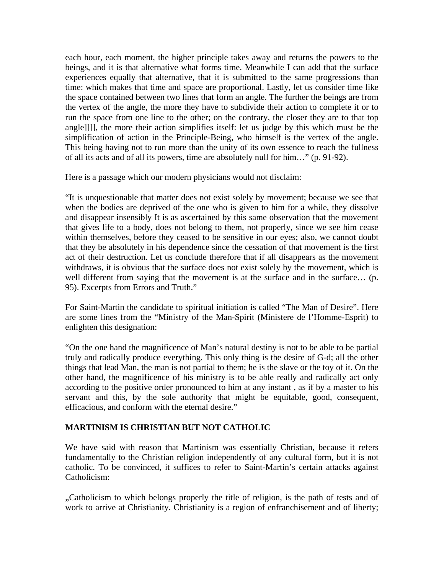each hour, each moment, the higher principle takes away and returns the powers to the beings, and it is that alternative what forms time. Meanwhile I can add that the surface experiences equally that alternative, that it is submitted to the same progressions than time: which makes that time and space are proportional. Lastly, let us consider time like the space contained between two lines that form an angle. The further the beings are from the vertex of the angle, the more they have to subdivide their action to complete it or to run the space from one line to the other; on the contrary, the closer they are to that top angle]]]], the more their action simplifies itself: let us judge by this which must be the simplification of action in the Principle-Being, who himself is the vertex of the angle. This being having not to run more than the unity of its own essence to reach the fullness of all its acts and of all its powers, time are absolutely null for him…" (p. 91-92).

Here is a passage which our modern physicians would not disclaim:

"It is unquestionable that matter does not exist solely by movement; because we see that when the bodies are deprived of the one who is given to him for a while, they dissolve and disappear insensibly It is as ascertained by this same observation that the movement that gives life to a body, does not belong to them, not properly, since we see him cease within themselves, before they ceased to be sensitive in our eyes; also, we cannot doubt that they be absolutely in his dependence since the cessation of that movement is the first act of their destruction. Let us conclude therefore that if all disappears as the movement withdraws, it is obvious that the surface does not exist solely by the movement, which is well different from saying that the movement is at the surface and in the surface... (p. 95). Excerpts from Errors and Truth."

For Saint-Martin the candidate to spiritual initiation is called "The Man of Desire". Here are some lines from the "Ministry of the Man-Spirit (Ministere de l'Homme-Esprit) to enlighten this designation:

"On the one hand the magnificence of Man's natural destiny is not to be able to be partial truly and radically produce everything. This only thing is the desire of G-d; all the other things that lead Man, the man is not partial to them; he is the slave or the toy of it. On the other hand, the magnificence of his ministry is to be able really and radically act only according to the positive order pronounced to him at any instant , as if by a master to his servant and this, by the sole authority that might be equitable, good, consequent, efficacious, and conform with the eternal desire."

## **MARTINISM IS CHRISTIAN BUT NOT CATHOLIC**

We have said with reason that Martinism was essentially Christian, because it refers fundamentally to the Christian religion independently of any cultural form, but it is not catholic. To be convinced, it suffices to refer to Saint-Martin's certain attacks against Catholicism:

"Catholicism to which belongs properly the title of religion, is the path of tests and of work to arrive at Christianity. Christianity is a region of enfranchisement and of liberty;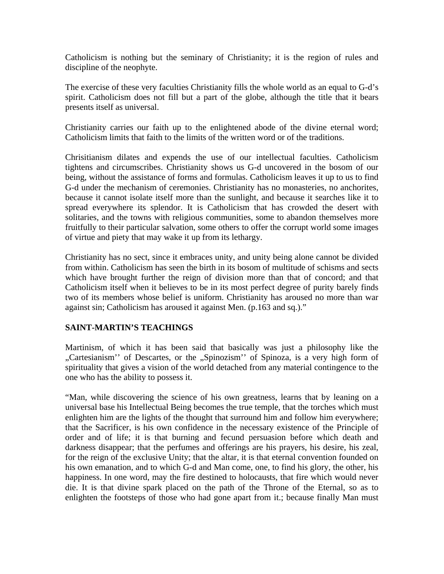Catholicism is nothing but the seminary of Christianity; it is the region of rules and discipline of the neophyte.

The exercise of these very faculties Christianity fills the whole world as an equal to G-d's spirit. Catholicism does not fill but a part of the globe, although the title that it bears presents itself as universal.

Christianity carries our faith up to the enlightened abode of the divine eternal word; Catholicism limits that faith to the limits of the written word or of the traditions.

Chrisitianism dilates and expends the use of our intellectual faculties. Catholicism tightens and circumscribes. Christianity shows us G-d uncovered in the bosom of our being, without the assistance of forms and formulas. Catholicism leaves it up to us to find G-d under the mechanism of ceremonies. Christianity has no monasteries, no anchorites, because it cannot isolate itself more than the sunlight, and because it searches like it to spread everywhere its splendor. It is Catholicism that has crowded the desert with solitaries, and the towns with religious communities, some to abandon themselves more fruitfully to their particular salvation, some others to offer the corrupt world some images of virtue and piety that may wake it up from its lethargy.

Christianity has no sect, since it embraces unity, and unity being alone cannot be divided from within. Catholicism has seen the birth in its bosom of multitude of schisms and sects which have brought further the reign of division more than that of concord; and that Catholicism itself when it believes to be in its most perfect degree of purity barely finds two of its members whose belief is uniform. Christianity has aroused no more than war against sin; Catholicism has aroused it against Men. (p.163 and sq.)."

## **SAINT-MARTIN'S TEACHINGS**

Martinism, of which it has been said that basically was just a philosophy like the "Cartesianism" of Descartes, or the "Spinozism" of Spinoza, is a very high form of spirituality that gives a vision of the world detached from any material contingence to the one who has the ability to possess it.

"Man, while discovering the science of his own greatness, learns that by leaning on a universal base his Intellectual Being becomes the true temple, that the torches which must enlighten him are the lights of the thought that surround him and follow him everywhere; that the Sacrificer, is his own confidence in the necessary existence of the Principle of order and of life; it is that burning and fecund persuasion before which death and darkness disappear; that the perfumes and offerings are his prayers, his desire, his zeal, for the reign of the exclusive Unity; that the altar, it is that eternal convention founded on his own emanation, and to which G-d and Man come, one, to find his glory, the other, his happiness. In one word, may the fire destined to holocausts, that fire which would never die. It is that divine spark placed on the path of the Throne of the Eternal, so as to enlighten the footsteps of those who had gone apart from it.; because finally Man must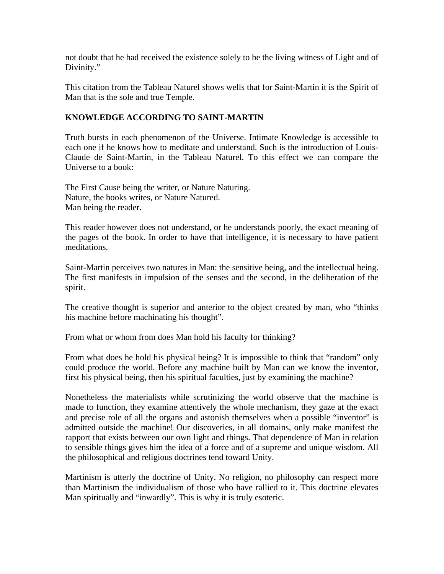not doubt that he had received the existence solely to be the living witness of Light and of Divinity."

This citation from the Tableau Naturel shows wells that for Saint-Martin it is the Spirit of Man that is the sole and true Temple.

#### **KNOWLEDGE ACCORDING TO SAINT-MARTIN**

Truth bursts in each phenomenon of the Universe. Intimate Knowledge is accessible to each one if he knows how to meditate and understand. Such is the introduction of Louis-Claude de Saint-Martin, in the Tableau Naturel. To this effect we can compare the Universe to a book:

The First Cause being the writer, or Nature Naturing. Nature, the books writes, or Nature Natured. Man being the reader.

This reader however does not understand, or he understands poorly, the exact meaning of the pages of the book. In order to have that intelligence, it is necessary to have patient meditations.

Saint-Martin perceives two natures in Man: the sensitive being, and the intellectual being. The first manifests in impulsion of the senses and the second, in the deliberation of the spirit.

The creative thought is superior and anterior to the object created by man, who "thinks his machine before machinating his thought".

From what or whom from does Man hold his faculty for thinking?

From what does he hold his physical being? It is impossible to think that "random" only could produce the world. Before any machine built by Man can we know the inventor, first his physical being, then his spiritual faculties, just by examining the machine?

Nonetheless the materialists while scrutinizing the world observe that the machine is made to function, they examine attentively the whole mechanism, they gaze at the exact and precise role of all the organs and astonish themselves when a possible "inventor" is admitted outside the machine! Our discoveries, in all domains, only make manifest the rapport that exists between our own light and things. That dependence of Man in relation to sensible things gives him the idea of a force and of a supreme and unique wisdom. All the philosophical and religious doctrines tend toward Unity.

Martinism is utterly the doctrine of Unity. No religion, no philosophy can respect more than Martinism the individualism of those who have rallied to it. This doctrine elevates Man spiritually and "inwardly". This is why it is truly esoteric.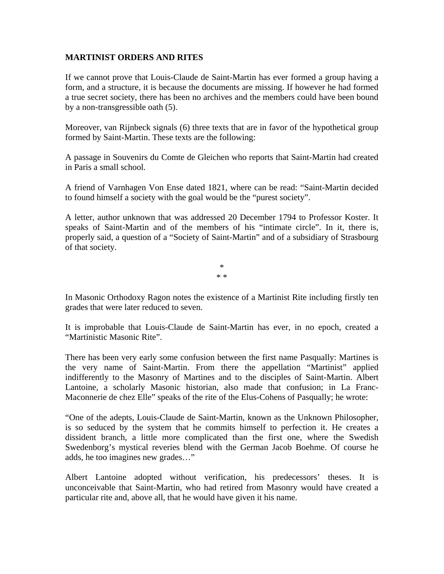#### **MARTINIST ORDERS AND RITES**

If we cannot prove that Louis-Claude de Saint-Martin has ever formed a group having a form, and a structure, it is because the documents are missing. If however he had formed a true secret society, there has been no archives and the members could have been bound by a non-transgressible oath (5).

Moreover, van Rijnbeck signals (6) three texts that are in favor of the hypothetical group formed by Saint-Martin. These texts are the following:

A passage in Souvenirs du Comte de Gleichen who reports that Saint-Martin had created in Paris a small school.

A friend of Varnhagen Von Ense dated 1821, where can be read: "Saint-Martin decided to found himself a society with the goal would be the "purest society".

A letter, author unknown that was addressed 20 December 1794 to Professor Koster. It speaks of Saint-Martin and of the members of his "intimate circle". In it, there is, properly said, a question of a "Society of Saint-Martin" and of a subsidiary of Strasbourg of that society.

> \* \* \*

In Masonic Orthodoxy Ragon notes the existence of a Martinist Rite including firstly ten grades that were later reduced to seven.

It is improbable that Louis-Claude de Saint-Martin has ever, in no epoch, created a "Martinistic Masonic Rite".

There has been very early some confusion between the first name Pasqually: Martines is the very name of Saint-Martin. From there the appellation "Martinist" applied indifferently to the Masonry of Martines and to the disciples of Saint-Martin. Albert Lantoine, a scholarly Masonic historian, also made that confusion; in La Franc-Maconnerie de chez Elle" speaks of the rite of the Elus-Cohens of Pasqually; he wrote:

"One of the adepts, Louis-Claude de Saint-Martin, known as the Unknown Philosopher, is so seduced by the system that he commits himself to perfection it. He creates a dissident branch, a little more complicated than the first one, where the Swedish Swedenborg's mystical reveries blend with the German Jacob Boehme. Of course he adds, he too imagines new grades…"

Albert Lantoine adopted without verification, his predecessors' theses. It is unconceivable that Saint-Martin, who had retired from Masonry would have created a particular rite and, above all, that he would have given it his name.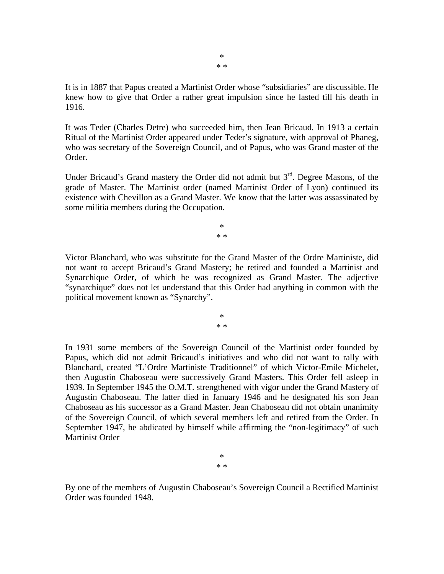It is in 1887 that Papus created a Martinist Order whose "subsidiaries" are discussible. He knew how to give that Order a rather great impulsion since he lasted till his death in 1916.

It was Teder (Charles Detre) who succeeded him, then Jean Bricaud. In 1913 a certain Ritual of the Martinist Order appeared under Teder's signature, with approval of Phaneg, who was secretary of the Sovereign Council, and of Papus, who was Grand master of the Order.

Under Bricaud's Grand mastery the Order did not admit but  $3<sup>rd</sup>$ . Degree Masons, of the grade of Master. The Martinist order (named Martinist Order of Lyon) continued its existence with Chevillon as a Grand Master. We know that the latter was assassinated by some militia members during the Occupation.

> \* \* \*

Victor Blanchard, who was substitute for the Grand Master of the Ordre Martiniste, did not want to accept Bricaud's Grand Mastery; he retired and founded a Martinist and Synarchique Order, of which he was recognized as Grand Master. The adjective "synarchique" does not let understand that this Order had anything in common with the political movement known as "Synarchy".

> \* \* \*

In 1931 some members of the Sovereign Council of the Martinist order founded by Papus, which did not admit Bricaud's initiatives and who did not want to rally with Blanchard, created "L'Ordre Martiniste Traditionnel" of which Victor-Emile Michelet, then Augustin Chaboseau were successively Grand Masters. This Order fell asleep in 1939. In September 1945 the O.M.T. strengthened with vigor under the Grand Mastery of Augustin Chaboseau. The latter died in January 1946 and he designated his son Jean Chaboseau as his successor as a Grand Master. Jean Chaboseau did not obtain unanimity of the Sovereign Council, of which several members left and retired from the Order. In September 1947, he abdicated by himself while affirming the "non-legitimacy" of such Martinist Order

> \* \* \*

By one of the members of Augustin Chaboseau's Sovereign Council a Rectified Martinist Order was founded 1948.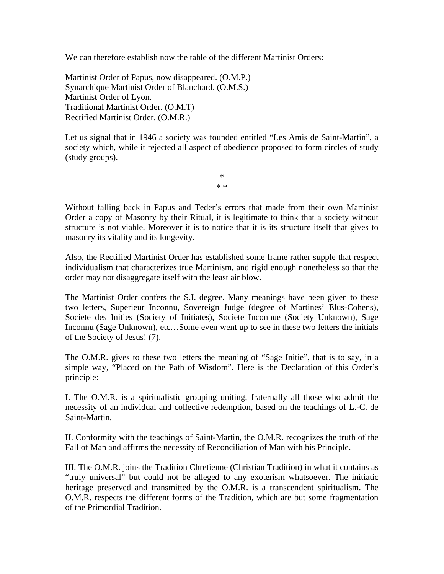We can therefore establish now the table of the different Martinist Orders:

Martinist Order of Papus, now disappeared. (O.M.P.) Synarchique Martinist Order of Blanchard. (O.M.S.) Martinist Order of Lyon. Traditional Martinist Order. (O.M.T) Rectified Martinist Order. (O.M.R.)

Let us signal that in 1946 a society was founded entitled "Les Amis de Saint-Martin", a society which, while it rejected all aspect of obedience proposed to form circles of study (study groups).

> \* \* \*

Without falling back in Papus and Teder's errors that made from their own Martinist Order a copy of Masonry by their Ritual, it is legitimate to think that a society without structure is not viable. Moreover it is to notice that it is its structure itself that gives to masonry its vitality and its longevity.

Also, the Rectified Martinist Order has established some frame rather supple that respect individualism that characterizes true Martinism, and rigid enough nonetheless so that the order may not disaggregate itself with the least air blow.

The Martinist Order confers the S.I. degree. Many meanings have been given to these two letters, Superieur Inconnu, Sovereign Judge (degree of Martines' Elus-Cohens), Societe des Inities (Society of Initiates), Societe Inconnue (Society Unknown), Sage Inconnu (Sage Unknown), etc…Some even went up to see in these two letters the initials of the Society of Jesus! (7).

The O.M.R. gives to these two letters the meaning of "Sage Initie", that is to say, in a simple way, "Placed on the Path of Wisdom". Here is the Declaration of this Order's principle:

I. The O.M.R. is a spiritualistic grouping uniting, fraternally all those who admit the necessity of an individual and collective redemption, based on the teachings of L.-C. de Saint-Martin.

II. Conformity with the teachings of Saint-Martin, the O.M.R. recognizes the truth of the Fall of Man and affirms the necessity of Reconciliation of Man with his Principle.

III. The O.M.R. joins the Tradition Chretienne (Christian Tradition) in what it contains as "truly universal" but could not be alleged to any exoterism whatsoever. The initiatic heritage preserved and transmitted by the O.M.R. is a transcendent spiritualism. The O.M.R. respects the different forms of the Tradition, which are but some fragmentation of the Primordial Tradition.